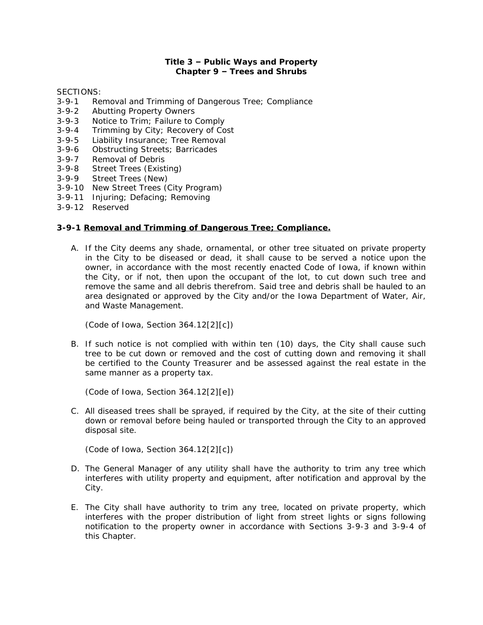## **Title 3 – Public Ways and Property Chapter 9 – Trees and Shrubs**

SECTIONS:

- 3-9-1 Removal and Trimming of Dangerous Tree; Compliance
- 
- 3-9-2 Abutting Property Owners<br>3-9-3 Notice to Trim; Failure to 0 3-9-3 Notice to Trim; Failure to Comply<br>3-9-4 Trimming by City; Recovery of Co
- Trimming by City; Recovery of Cost
- 3-9-5 Liability Insurance; Tree Removal
- 3-9-6 Obstructing Streets; Barricades
- 3-9-7 Removal of Debris
- 3-9-8 Street Trees (Existing)
- 3-9-9 Street Trees (New)
- 3-9-10 New Street Trees (City Program)
- 3-9-11 Injuring; Defacing; Removing
- 3-9-12 Reserved

### **3-9-1 Removal and Trimming of Dangerous Tree; Compliance.**

A. If the City deems any shade, ornamental, or other tree situated on private property in the City to be diseased or dead, it shall cause to be served a notice upon the owner, in accordance with the most recently enacted Code of Iowa, if known within the City, or if not, then upon the occupant of the lot, to cut down such tree and remove the same and all debris therefrom. Said tree and debris shall be hauled to an area designated or approved by the City and/or the Iowa Department of Water, Air, and Waste Management.

*(Code of Iowa, Section 364.12[2][c])*

B. If such notice is not complied with within ten (10) days, the City shall cause such tree to be cut down or removed and the cost of cutting down and removing it shall be certified to the County Treasurer and be assessed against the real estate in the same manner as a property tax.

*(Code of Iowa, Section 364.12[2][e])*

C. All diseased trees shall be sprayed, if required by the City, at the site of their cutting down or removal before being hauled or transported through the City to an approved disposal site.

*(Code of Iowa, Section 364.12[2][c])*

- D. The General Manager of any utility shall have the authority to trim any tree which interferes with utility property and equipment, after notification and approval by the City.
- E. The City shall have authority to trim any tree, located on private property, which interferes with the proper distribution of light from street lights or signs following notification to the property owner in accordance with Sections 3-9-3 and 3-9-4 of this Chapter.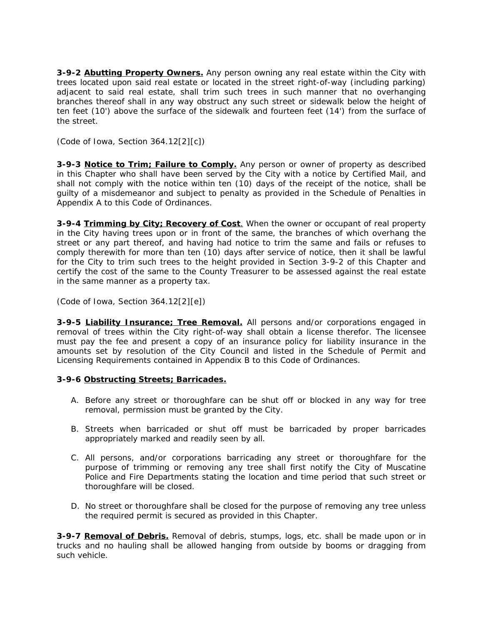**3-9-2 Abutting Property Owners.** Any person owning any real estate within the City with trees located upon said real estate or located in the street right-of-way (including parking) adjacent to said real estate, shall trim such trees in such manner that no overhanging branches thereof shall in any way obstruct any such street or sidewalk below the height of ten feet (10') above the surface of the sidewalk and fourteen feet (14') from the surface of the street.

*(Code of Iowa, Section 364.12[2][c])*

**3-9-3 Notice to Trim; Failure to Comply.** Any person or owner of property as described in this Chapter who shall have been served by the City with a notice by Certified Mail, and shall not comply with the notice within ten (10) days of the receipt of the notice, shall be guilty of a misdemeanor and subject to penalty as provided in the Schedule of Penalties in Appendix A to this Code of Ordinances.

**3-9-4 Trimming by City; Recovery of Cost**. When the owner or occupant of real property in the City having trees upon or in front of the same, the branches of which overhang the street or any part thereof, and having had notice to trim the same and fails or refuses to comply therewith for more than ten (10) days after service of notice, then it shall be lawful for the City to trim such trees to the height provided in Section 3-9-2 of this Chapter and certify the cost of the same to the County Treasurer to be assessed against the real estate in the same manner as a property tax.

*(Code of Iowa, Section 364.12[2][e])*

**3-9-5 Liability Insurance; Tree Removal.** All persons and/or corporations engaged in removal of trees within the City right-of-way shall obtain a license therefor. The licensee must pay the fee and present a copy of an insurance policy for liability insurance in the amounts set by resolution of the City Council and listed in the Schedule of Permit and Licensing Requirements contained in Appendix B to this Code of Ordinances.

# **3-9-6 Obstructing Streets; Barricades.**

- A. Before any street or thoroughfare can be shut off or blocked in any way for tree removal, permission must be granted by the City.
- B. Streets when barricaded or shut off must be barricaded by proper barricades appropriately marked and readily seen by all.
- C. All persons, and/or corporations barricading any street or thoroughfare for the purpose of trimming or removing any tree shall first notify the City of Muscatine Police and Fire Departments stating the location and time period that such street or thoroughfare will be closed.
- D. No street or thoroughfare shall be closed for the purpose of removing any tree unless the required permit is secured as provided in this Chapter.

**3-9-7 Removal of Debris.** Removal of debris, stumps, logs, etc. shall be made upon or in trucks and no hauling shall be allowed hanging from outside by booms or dragging from such vehicle.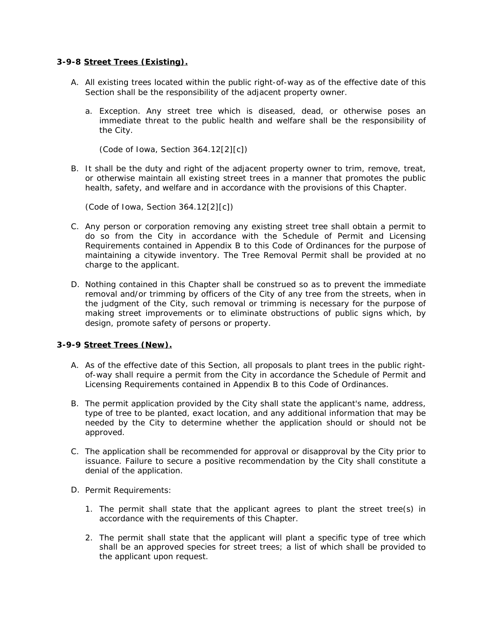### **3-9-8 Street Trees (Existing).**

- A. All existing trees located within the public right-of-way as of the effective date of this Section shall be the responsibility of the adjacent property owner.
	- a. Exception. Any street tree which is diseased, dead, or otherwise poses an immediate threat to the public health and welfare shall be the responsibility of the City.

*(Code of Iowa, Section 364.12[2][c])*

B. It shall be the duty and right of the adjacent property owner to trim, remove, treat, or otherwise maintain all existing street trees in a manner that promotes the public health, safety, and welfare and in accordance with the provisions of this Chapter.

*(Code of Iowa, Section 364.12[2][c])*

- C. Any person or corporation removing any existing street tree shall obtain a permit to do so from the City in accordance with the Schedule of Permit and Licensing Requirements contained in Appendix B to this Code of Ordinances for the purpose of maintaining a citywide inventory. The Tree Removal Permit shall be provided at no charge to the applicant.
- D. Nothing contained in this Chapter shall be construed so as to prevent the immediate removal and/or trimming by officers of the City of any tree from the streets, when in the judgment of the City, such removal or trimming is necessary for the purpose of making street improvements or to eliminate obstructions of public signs which, by design, promote safety of persons or property.

# **3-9-9 Street Trees (New).**

- A. As of the effective date of this Section, all proposals to plant trees in the public rightof-way shall require a permit from the City in accordance the Schedule of Permit and Licensing Requirements contained in Appendix B to this Code of Ordinances.
- B. The permit application provided by the City shall state the applicant's name, address, type of tree to be planted, exact location, and any additional information that may be needed by the City to determine whether the application should or should not be approved.
- C. The application shall be recommended for approval or disapproval by the City prior to issuance. Failure to secure a positive recommendation by the City shall constitute a denial of the application.
- D. Permit Requirements:
	- 1. The permit shall state that the applicant agrees to plant the street tree(s) in accordance with the requirements of this Chapter.
	- 2. The permit shall state that the applicant will plant a specific type of tree which shall be an approved species for street trees; a list of which shall be provided to the applicant upon request.